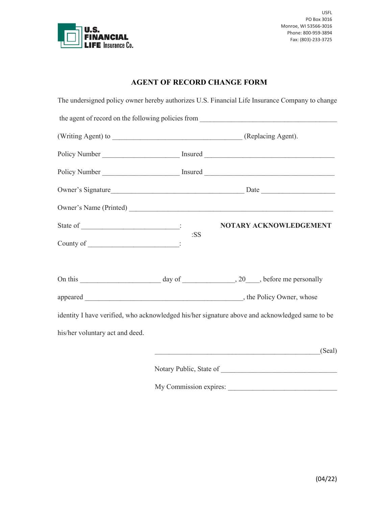

## **AGENT OF RECORD CHANGE FORM**

|                                 |                         | The undersigned policy owner hereby authorizes U.S. Financial Life Insurance Company to change |  |
|---------------------------------|-------------------------|------------------------------------------------------------------------------------------------|--|
|                                 |                         | the agent of record on the following policies from                                             |  |
|                                 |                         |                                                                                                |  |
|                                 |                         | Policy Number ___________________________ Insured _______________________________              |  |
|                                 |                         | Policy Number ___________________________ Insured _______________________________              |  |
|                                 |                         |                                                                                                |  |
|                                 |                         |                                                                                                |  |
|                                 |                         | NOTARY ACKNOWLEDGEMENT                                                                         |  |
|                                 | :SS                     |                                                                                                |  |
|                                 |                         |                                                                                                |  |
|                                 |                         |                                                                                                |  |
|                                 |                         | identity I have verified, who acknowledged his/her signature above and acknowledged same to be |  |
| his/her voluntary act and deed. |                         |                                                                                                |  |
|                                 |                         | (Seal)                                                                                         |  |
|                                 | Notary Public, State of |                                                                                                |  |
|                                 |                         | My Commission expires:                                                                         |  |
|                                 |                         |                                                                                                |  |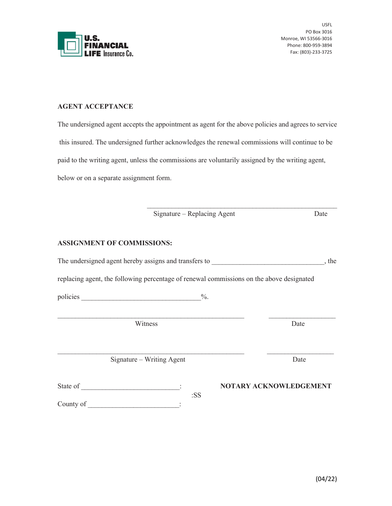

USFL PO Box 3016 Monroe, WI 53566-3016 Phone: 800-959-3894 Fax: (803)-233-3725

## **AGENT ACCEPTANCE**

The undersigned agent accepts the appointment as agent for the above policies and agrees to service this insured. The undersigned further acknowledges the renewal commissions will continue to be paid to the writing agent, unless the commissions are voluntarily assigned by the writing agent, below or on a separate assignment form.

|                                                       | Signature – Replacing Agent                                                              | Date                   |  |
|-------------------------------------------------------|------------------------------------------------------------------------------------------|------------------------|--|
| <b>ASSIGNMENT OF COMMISSIONS:</b>                     |                                                                                          |                        |  |
| The undersigned agent hereby assigns and transfers to |                                                                                          |                        |  |
|                                                       | replacing agent, the following percentage of renewal commissions on the above designated |                        |  |
|                                                       |                                                                                          |                        |  |
|                                                       | Witness                                                                                  | Date                   |  |
|                                                       | Signature – Writing Agent                                                                | Date                   |  |
| County of                                             | :SS                                                                                      | NOTARY ACKNOWLEDGEMENT |  |